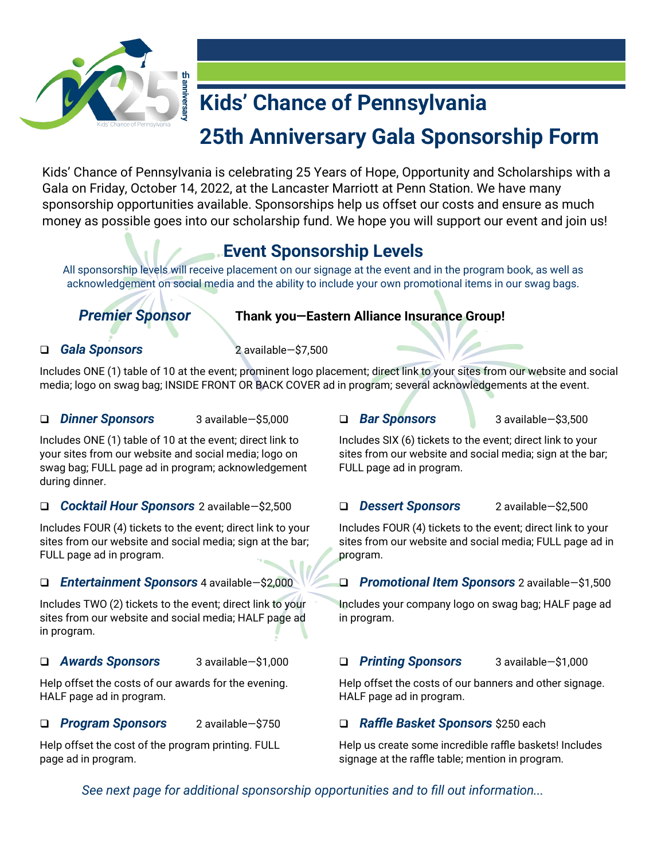

# **Kids' Chance of Pennsylvania**

# **25th Anniversary Gala Sponsorship Form**

Kids' Chance of Pennsylvania is celebrating 25 Years of Hope, Opportunity and Scholarships with a Gala on Friday, October 14, 2022, at the Lancaster Marriott at Penn Station. We have many sponsorship opportunities available. Sponsorships help us offset our costs and ensure as much money as possible goes into our scholarship fund. We hope you will support our event and join us!

# **Event Sponsorship Levels**

All sponsorship levels will receive placement on our signage at the event and in the program book, as well as acknowledgement on social media and the ability to include your own promotional items in our swag bags.

### *Premier Sponsor* **Thank you—Eastern Alliance Insurance Group!**

#### ❑ *Gala Sponsors* 2 available—\$7,500

Includes ONE (1) table of 10 at the event; prominent logo placement; direct link to your sites from our website and social media; logo on swag bag; INSIDE FRONT OR BACK COVER ad in program; several acknowledgements at the event.

#### ❑ *Dinner Sponsors* 3 available—\$5,000

Includes ONE (1) table of 10 at the event; direct link to your sites from our website and social media; logo on swag bag; FULL page ad in program; acknowledgement during dinner.

#### ❑ *Cocktail Hour Sponsors* 2 available—\$2,500

Includes FOUR (4) tickets to the event; direct link to your sites from our website and social media; sign at the bar; FULL page ad in program.

#### ❑ *Entertainment Sponsors* 4 available—\$2,000

Includes TWO (2) tickets to the event; direct link to your sites from our website and social media; HALF page ad in program.

#### ❑ *Awards Sponsors* 3 available—\$1,000

Help offset the costs of our awards for the evening. HALF page ad in program.

#### ❑ *Program Sponsors* 2 available—\$750

Help offset the cost of the program printing. FULL page ad in program.

#### ❑ *Bar Sponsors* 3 available—\$3,500

Includes SIX (6) tickets to the event; direct link to your sites from our website and social media; sign at the bar; FULL page ad in program.

#### ❑ *Dessert Sponsors* 2 available—\$2,500

Includes FOUR (4) tickets to the event; direct link to your sites from our website and social media; FULL page ad in program.

### ❑ *Promotional Item Sponsors* 2 available—\$1,500

Includes your company logo on swag bag; HALF page ad in program.

#### ❑ *Printing Sponsors* 3 available—\$1,000

Help offset the costs of our banners and other signage. HALF page ad in program.

#### ❑ *Raffle Basket Sponsors* \$250 each

Help us create some incredible raffle baskets! Includes signage at the raffle table; mention in program.

*See next page for additional sponsorship opportunities and to fill out information...*